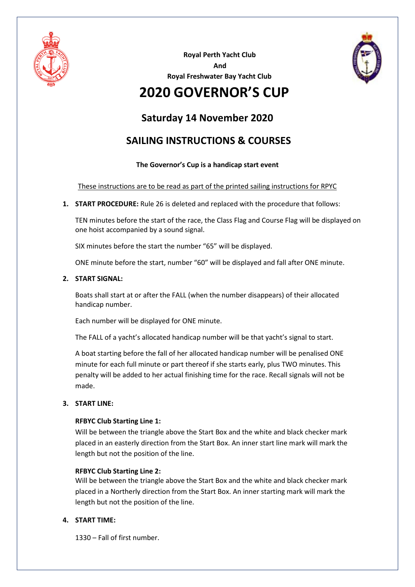

**Royal Perth Yacht Club And Royal Freshwater Bay Yacht Club**



## **2020 GOVERNOR'S CUP**

## **Saturday 14 November 2020**

### **SAILING INSTRUCTIONS & COURSES**

#### **The Governor's Cup is a handicap start event**

These instructions are to be read as part of the printed sailing instructions for RPYC

**1. START PROCEDURE:** Rule 26 is deleted and replaced with the procedure that follows:

TEN minutes before the start of the race, the Class Flag and Course Flag will be displayed on one hoist accompanied by a sound signal.

SIX minutes before the start the number "65" will be displayed.

ONE minute before the start, number "60" will be displayed and fall after ONE minute.

#### **2. START SIGNAL:**

Boats shall start at or after the FALL (when the number disappears) of their allocated handicap number.

Each number will be displayed for ONE minute.

The FALL of a yacht's allocated handicap number will be that yacht's signal to start.

A boat starting before the fall of her allocated handicap number will be penalised ONE minute for each full minute or part thereof if she starts early, plus TWO minutes. This penalty will be added to her actual finishing time for the race. Recall signals will not be made.

#### **3. START LINE:**

#### **RFBYC Club Starting Line 1:**

Will be between the triangle above the Start Box and the white and black checker mark placed in an easterly direction from the Start Box. An inner start line mark will mark the length but not the position of the line.

#### **RFBYC Club Starting Line 2:**

Will be between the triangle above the Start Box and the white and black checker mark placed in a Northerly direction from the Start Box. An inner starting mark will mark the length but not the position of the line.

#### **4. START TIME:**

1330 – Fall of first number.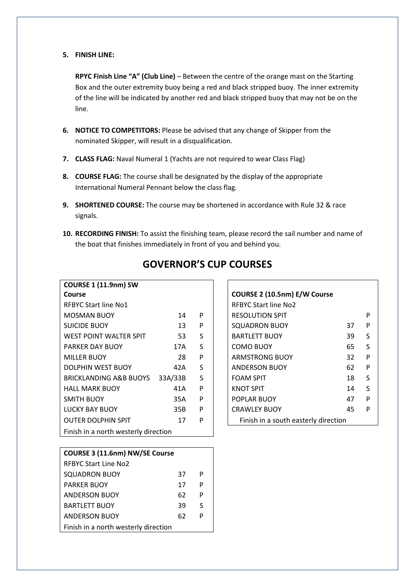#### **5. FINISH LINE:**

**RPYC Finish Line "A" (Club Line)** – Between the centre of the orange mast on the Starting Box and the outer extremity buoy being a red and black stripped buoy. The inner extremity of the line will be indicated by another red and black stripped buoy that may not be on the line.

- **6. NOTICE TO COMPETITORS:** Please be advised that any change of Skipper from the nominated Skipper, will result in a disqualification.
- **7. CLASS FLAG:** Naval Numeral 1 (Yachts are not required to wear Class Flag)
- **8. COURSE FLAG:** The course shall be designated by the display of the appropriate International Numeral Pennant below the class flag.
- **9. SHORTENED COURSE:** The course may be shortened in accordance with Rule 32 & race signals.
- **10. RECORDING FINISH:** To assist the finishing team, please record the sail number and name of the boat that finishes immediately in front of you and behind you.

| <b>COURSE 1 (11.9nm) SW</b>          |         |   |                             |
|--------------------------------------|---------|---|-----------------------------|
| Course                               |         |   | <b>COURSE 2 (10.5nm)</b>    |
| <b>RFBYC Start line No1</b>          |         |   | <b>RFBYC Start line No2</b> |
| <b>MOSMAN BUOY</b>                   | 14      | P | <b>RESOLUTION SPIT</b>      |
| <b>SUICIDE BUOY</b>                  | 13      | P | <b>SQUADRON BUOY</b>        |
| WEST POINT WALTER SPIT               | 53      | S | <b>BARTLETT BUOY</b>        |
| PARKER DAY BUOY                      | 17A     | S | COMO BUOY                   |
| <b>MILLER BUOY</b>                   | 28      | P | <b>ARMSTRONG BUOY</b>       |
| <b>DOLPHIN WEST BUOY</b>             | 42A     | S | <b>ANDERSON BUOY</b>        |
| BRICKLANDING A&B BUOYS               | 33A/33B | S | <b>FOAM SPIT</b>            |
| <b>HALL MARK BUOY</b>                | 41A     | P | <b>KNOT SPIT</b>            |
| <b>SMITH BUOY</b>                    | 35A     | P | POPLAR BUOY                 |
| LUCKY BAY BUOY                       | 35B     | P | <b>CRAWLEY BUOY</b>         |
| <b>OUTER DOLPHIN SPIT</b>            | 17      | P | Finish in a south e         |
| Finish in a north westerly direction |         |   |                             |

| RFBYC Start line No1   |         |   | <b>RFBYC Start line No2</b> |    |              |
|------------------------|---------|---|-----------------------------|----|--------------|
| <b>MOSMAN BUOY</b>     | 14      | P | <b>RESOLUTION SPIT</b>      |    | P            |
| <b>SUICIDE BUOY</b>    | 13      | P | <b>SQUADRON BUOY</b>        | 37 | P            |
| WEST POINT WALTER SPIT | 53      | S | <b>BARTLETT BUOY</b>        | 39 | S            |
| PARKER DAY BUOY        | 17A     | S | <b>COMO BUOY</b>            | 65 | S            |
| MILLER BUOY            | 28      | P | <b>ARMSTRONG BUOY</b>       | 32 | P            |
| DOLPHIN WEST BUOY      | 42A     | S | <b>ANDERSON BUOY</b>        | 62 | P            |
| BRICKLANDING A&B BUOYS | 33A/33B | S | <b>FOAM SPIT</b>            | 18 | <sub>S</sub> |
| HALL MARK BUOY         | 41A     | P | <b>KNOT SPIT</b>            | 14 | S            |
|                        |         |   |                             |    |              |

POPLAR BUOY 47 P CRAWLEY BUOY 45 P

Finish in a south easterly direction

**Course COURSE 2 (10.5nm) E/W Course**

# **GOVERNOR'S CUP COURSES**

| <b>COURSE 3 (11.6nm) NW/SE Course</b> |    |   |  |  |  |
|---------------------------------------|----|---|--|--|--|
| REBYC Start Line No2                  |    |   |  |  |  |
| SQUADRON BUOY                         | 37 | Р |  |  |  |
| PARKER BUOY                           | 17 | P |  |  |  |
| <b>ANDERSON BUOY</b>                  | 62 | P |  |  |  |
| <b>BARTLETT BUOY</b>                  | 39 | S |  |  |  |
| <b>ANDERSON BUOY</b>                  | 62 | P |  |  |  |
| Finish in a north westerly direction  |    |   |  |  |  |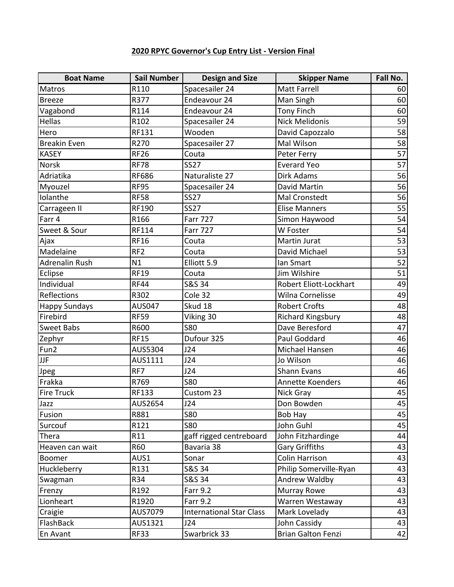#### **2020 RPYC Governor's Cup Entry List - Version Final**

| <b>Boat Name</b>     | <b>Sail Number</b> | <b>Design and Size</b>          | <b>Skipper Name</b>       | Fall No.        |
|----------------------|--------------------|---------------------------------|---------------------------|-----------------|
| Matros               | R110               | Spacesailer 24                  | <b>Matt Farrell</b>       | 60              |
| <b>Breeze</b>        | R377               | Endeavour 24                    | Man Singh                 | 60              |
| Vagabond             | R114               | Endeavour 24                    | <b>Tony Finch</b>         | 60              |
| Hellas               | R102               | Spacesailer 24                  | <b>Nick Melidonis</b>     | 59              |
| Hero                 | RF131              | Wooden                          | David Capozzalo           | 58              |
| <b>Breakin Even</b>  | R270               | Spacesailer 27                  | Mal Wilson                | 58              |
| <b>KASEY</b>         | <b>RF26</b>        | Couta                           | Peter Ferry               | $\overline{57}$ |
| <b>Norsk</b>         | <b>RF78</b>        | <b>SS27</b>                     | <b>Everard Yeo</b>        | $\overline{57}$ |
| Adriatika            | <b>RF686</b>       | Naturaliste 27                  | Dirk Adams                | 56              |
| Myouzel              | <b>RF95</b>        | Spacesailer 24                  | David Martin              | 56              |
| Iolanthe             | <b>RF58</b>        | <b>SS27</b>                     | Mal Cronstedt             | 56              |
| Carrageen II         | <b>RF190</b>       | <b>SS27</b>                     | <b>Elise Manners</b>      | 55              |
| Farr 4               | R166               | <b>Farr 727</b>                 | Simon Haywood             | 54              |
| Sweet & Sour         | <b>RF114</b>       | <b>Farr 727</b>                 | W Foster                  | 54              |
| Ajax                 | <b>RF16</b>        | Couta                           | Martin Jurat              | 53              |
| Madelaine            | RF <sub>2</sub>    | Couta                           | David Michael             | $\overline{53}$ |
| Adrenalin Rush       | N1                 | Elliott 5.9                     | lan Smart                 | 52              |
| Eclipse              | <b>RF19</b>        | Couta                           | Jim Wilshire              | 51              |
| Individual           | <b>RF44</b>        | S&S 34                          | Robert Eliott-Lockhart    | 49              |
| Reflections          | R302               | Cole 32                         | Wilna Cornelisse          | 49              |
| <b>Happy Sundays</b> | <b>AUS047</b>      | Skud 18                         | <b>Robert Crofts</b>      | 48              |
| Firebird             | <b>RF59</b>        | Viking 30                       | <b>Richard Kingsbury</b>  | 48              |
| <b>Sweet Babs</b>    | R600               | <b>S80</b>                      | Dave Beresford            | 47              |
| Zephyr               | <b>RF15</b>        | Dufour 325                      | Paul Goddard              | 46              |
| Fun2                 | AUS5304            | J24                             | Michael Hansen            | 46              |
| <b>JJF</b>           | AUS1111            | J24                             | Jo Wilson                 | 46              |
| Jpeg                 | RF7                | J24                             | Shann Evans               | 46              |
| Frakka               | R769               | <b>S80</b>                      | <b>Annette Koenders</b>   | 46              |
| <b>Fire Truck</b>    | RF133              | Custom 23                       | Nick Gray                 | 45              |
| Jazz                 | AUS2654            | J24                             | Don Bowden                | 45              |
| Fusion               | R881               | <b>S80</b>                      | Bob Hay                   | 45              |
| Surcouf              | R121               | <b>S80</b>                      | John Guhl                 | 45              |
| Thera                | R11                | gaff rigged centreboard         | John Fitzhardinge         | 44              |
| Heaven can wait      | R60                | Bavaria 38                      | <b>Gary Griffiths</b>     | 43              |
| Boomer               | AUS1               | Sonar                           | Colin Harrison            | 43              |
| Huckleberry          | R131               | S&S 34                          | Philip Somerville-Ryan    | 43              |
| Swagman              | R34                | S&S 34                          | Andrew Waldby             | 43              |
| Frenzy               | R192               | <b>Farr 9.2</b>                 | <b>Murray Rowe</b>        | 43              |
| Lionheart            | R1920              | <b>Farr 9.2</b>                 | Warren Westaway           | 43              |
| Craigie              | AUS7079            | <b>International Star Class</b> | Mark Lovelady             | 43              |
| FlashBack            | AUS1321            | J24                             | John Cassidy              | 43              |
| En Avant             | RF33               | Swarbrick 33                    | <b>Brian Galton Fenzi</b> | 42              |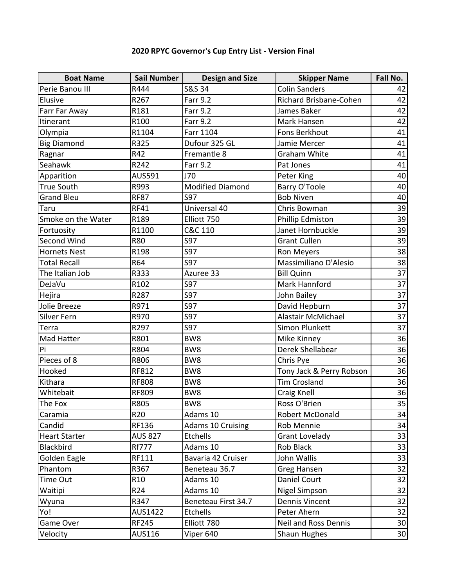#### **2020 RPYC Governor's Cup Entry List - Version Final**

| <b>Boat Name</b>     | Sail Number     | <b>Design and Size</b>  | <b>Skipper Name</b>         | Fall No.        |
|----------------------|-----------------|-------------------------|-----------------------------|-----------------|
| Perie Banou III      | R444            | S&S 34                  | <b>Colin Sanders</b>        | 42              |
| Elusive              | R267            | <b>Farr 9.2</b>         | Richard Brisbane-Cohen      | 42              |
| Farr Far Away        | R181            | <b>Farr 9.2</b>         | James Baker                 | 42              |
| Itinerant            | R100            | Farr 9.2                | Mark Hansen                 | 42              |
| Olympia              | R1104           | Farr 1104               | Fons Berkhout               | 41              |
| <b>Big Diamond</b>   | R325            | Dufour 325 GL           | Jamie Mercer                | 41              |
| Ragnar               | R42             | Fremantle 8             | <b>Graham White</b>         | 41              |
| Seahawk              | R242            | Farr 9.2                | Pat Jones                   | 41              |
| Apparition           | <b>AUS591</b>   | J70                     | Peter King                  | 40              |
| <b>True South</b>    | R993            | <b>Modified Diamond</b> | Barry O'Toole               | 40              |
| <b>Grand Bleu</b>    | <b>RF87</b>     | <b>S97</b>              | <b>Bob Niven</b>            | 40              |
| Taru                 | <b>RF41</b>     | Universal 40            | Chris Bowman                | 39              |
| Smoke on the Water   | R189            | Elliott 750             | Phillip Edmiston            | 39              |
| Fortuosity           | R1100           | C&C 110                 | Janet Hornbuckle            | 39              |
| Second Wind          | <b>R80</b>      | S97                     | <b>Grant Cullen</b>         | 39              |
| <b>Hornets Nest</b>  | R198            | S97                     | Ron Meyers                  | 38              |
| <b>Total Recall</b>  | R64             | S97                     | Massimiliano D'Alesio       | 38              |
| The Italian Job      | R333            | Azuree 33               | <b>Bill Quinn</b>           | 37              |
| DeJaVu               | R102            | <b>S97</b>              | Mark Hannford               | 37              |
| Hejira               | R287            | S97                     | John Bailey                 | 37              |
| Jolie Breeze         | R971            | S97                     | David Hepburn               | 37              |
| Silver Fern          | R970            | <b>S97</b>              | <b>Alastair McMichael</b>   | 37              |
| Terra                | R297            | S97                     | Simon Plunkett              | 37              |
| Mad Hatter           | R801            | BW8                     | Mike Kinney                 | 36              |
| Pi                   | R804            | BW8                     | Derek Shellabear            | 36              |
| Pieces of 8          | R806            | BW8                     | Chris Pye                   | 36              |
| Hooked               | RF812           | BW8                     | Tony Jack & Perry Robson    | 36              |
| Kithara              | <b>RF808</b>    | BW8                     | <b>Tim Crosland</b>         | 36              |
| Whitebait            | <b>RF809</b>    | BW8                     | Craig Knell                 | 36              |
| The Fox              | R805            | BW8                     | Ross O'Brien                | 35              |
| Caramia              | R <sub>20</sub> | Adams 10                | Robert McDonald             | 34              |
| Candid               | RF136           | Adams 10 Cruising       | Rob Mennie                  | 34              |
| <b>Heart Starter</b> | <b>AUS 827</b>  | Etchells                | <b>Grant Lovelady</b>       | 33              |
| Blackbird            | <b>Rf777</b>    | Adams 10                | Rob Black                   | 33              |
| Golden Eagle         | RF111           | Bavaria 42 Cruiser      | John Wallis                 | 33              |
| Phantom              | R367            | Beneteau 36.7           | <b>Greg Hansen</b>          | 32              |
| Time Out             | R10             | Adams 10                | <b>Daniel Court</b>         | 32              |
| Waitipi              | R24             | Adams 10                | Nigel Simpson               | 32              |
| Wyuna                | R347            | Beneteau First 34.7     | <b>Dennis Vincent</b>       | 32              |
| Yo!                  | AUS1422         | Etchells                | Peter Ahern                 | 32              |
| Game Over            | <b>RF245</b>    | Elliott 780             | <b>Neil and Ross Dennis</b> | 30 <sup>1</sup> |
| Velocity             | AUS116          | Viper 640               | <b>Shaun Hughes</b>         | 30              |